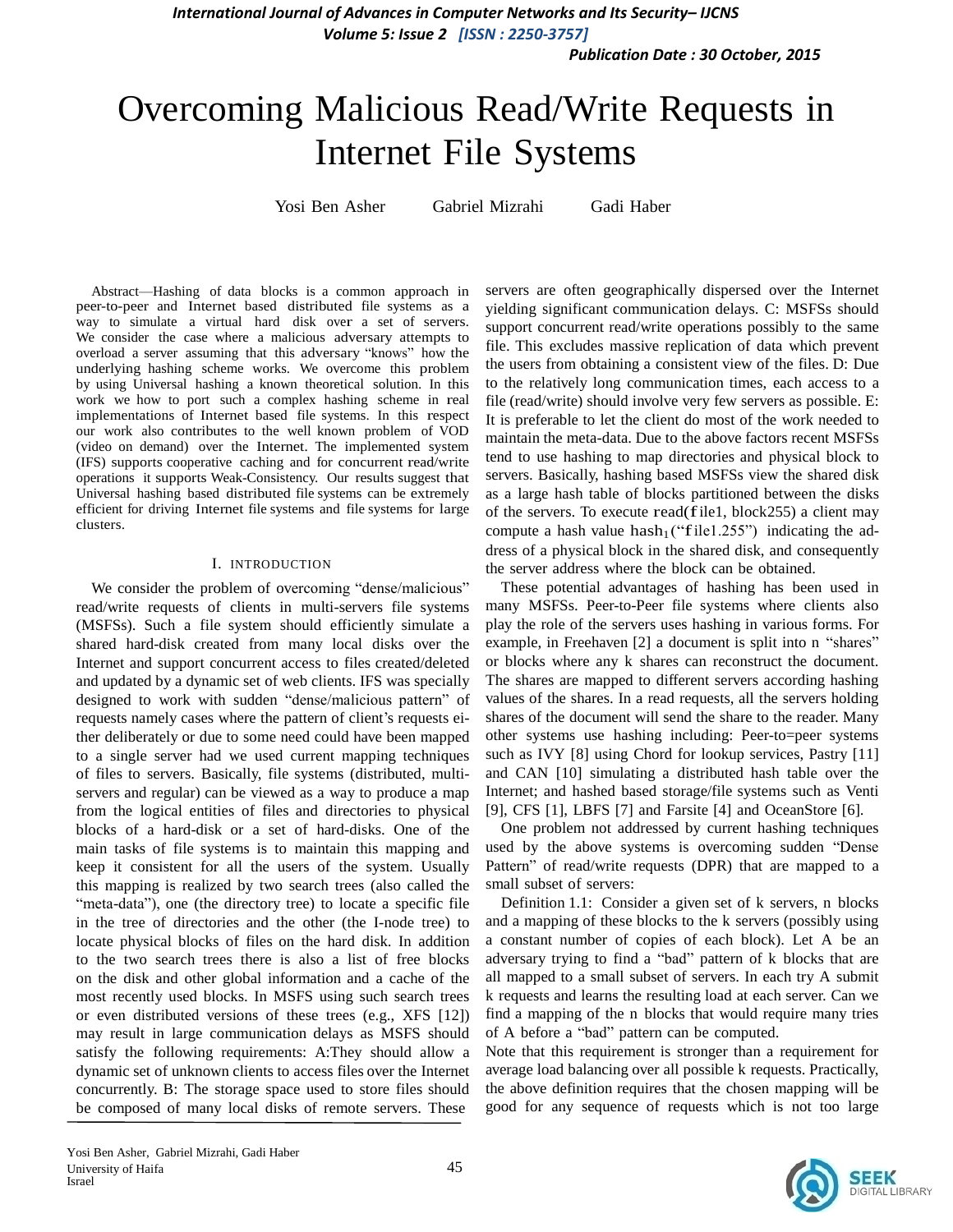*Publication Date : 30 October, 2015*

# Overcoming Malicious Read/Write Requests in Internet File Systems

Yosi Ben Asher Gabriel Mizrahi Gadi Haber

Abstract—Hashing of data blocks is a common approach in peer-to-peer and Internet based distributed file systems as a way to simulate a virtual hard disk over a set of servers. We consider the case where a malicious adversary attempts to overload a server assuming that this adversary "knows" how the underlying hashing scheme works. We overcome this problem by using Universal hashing a known theoretical solution. In this work we how to port such a complex hashing scheme in real implementations of Internet based file systems. In this respect our work also contributes to the well known problem of VOD (video on demand) over the Internet. The implemented system (IFS) supports cooperative caching and for concurrent read/write operations it supports Weak-Consistency. Our results suggest that Universal hashing based distributed file systems can be extremely efficient for driving Internet file systems and file systems for large clusters.

### I. INTRODUCTION

We consider the problem of overcoming "dense/malicious" read/write requests of clients in multi-servers file systems (MSFSs). Such a file system should efficiently simulate a shared hard-disk created from many local disks over the Internet and support concurrent access to files created/deleted and updated by a dynamic set of web clients. IFS was specially designed to work with sudden "dense/malicious pattern" of requests namely cases where the pattern of client's requests either deliberately or due to some need could have been mapped to a single server had we used current mapping techniques of files to servers. Basically, file systems (distributed, multiservers and regular) can be viewed as a way to produce a map from the logical entities of files and directories to physical blocks of a hard-disk or a set of hard-disks. One of the main tasks of file systems is to maintain this mapping and keep it consistent for all the users of the system. Usually this mapping is realized by two search trees (also called the "meta-data"), one (the directory tree) to locate a specific file in the tree of directories and the other (the I-node tree) to locate physical blocks of files on the hard disk. In addition to the two search trees there is also a list of free blocks on the disk and other global information and a cache of the most recently used blocks. In MSFS using such search trees or even distributed versions of these trees (e.g., XFS [12]) may result in large communication delays as MSFS should satisfy the following requirements: A:They should allow a dynamic set of unknown clients to access files over the Internet concurrently. B: The storage space used to store files should be composed of many local disks of remote servers. These

servers are often geographically dispersed over the Internet yielding significant communication delays. C: MSFSs should support concurrent read/write operations possibly to the same file. This excludes massive replication of data which prevent the users from obtaining a consistent view of the files. D: Due to the relatively long communication times, each access to a file (read/write) should involve very few servers as possible. E: It is preferable to let the client do most of the work needed to maintain the meta-data. Due to the above factors recent MSFSs tend to use hashing to map directories and physical block to servers. Basically, hashing based MSFSs view the shared disk as a large hash table of blocks partitioned between the disks of the servers. To execute read(file1, block255) <sup>a</sup> client may compute a hash value hash $_1$  ("file1.255") indicating the address of a physical block in the shared disk, and consequently the server address where the block can be obtained.

These potential advantages of hashing has been used in many MSFSs. Peer-to-Peer file systems where clients also play the role of the servers uses hashing in various forms. For example, in Freehaven [2] a document is split into n "shares" or blocks where any k shares can reconstruct the document. The shares are mapped to different servers according hashing values of the shares. In a read requests, all the servers holding shares of the document will send the share to the reader. Many other systems use hashing including: Peer-to=peer systems such as IVY [8] using Chord for lookup services, Pastry [11] and CAN [10] simulating a distributed hash table over the Internet; and hashed based storage/file systems such as Venti [9], CFS [1], LBFS [7] and Farsite [4] and OceanStore [6].

One problem not addressed by current hashing techniques used by the above systems is overcoming sudden "Dense Pattern" of read/write requests (DPR) that are mapped to a small subset of servers:

Definition 1.1: Consider a given set of k servers, n blocks and a mapping of these blocks to the k servers (possibly using a constant number of copies of each block). Let A be an adversary trying to find a "bad" pattern of k blocks that are all mapped to a small subset of servers. In each try A submit k requests and learns the resulting load at each server. Can we find a mapping of the n blocks that would require many tries of A before a "bad" pattern can be computed.

Note that this requirement is stronger than a requirement for average load balancing over all possible k requests. Practically, the above definition requires that the chosen mapping will be good for any sequence of requests which is not too large

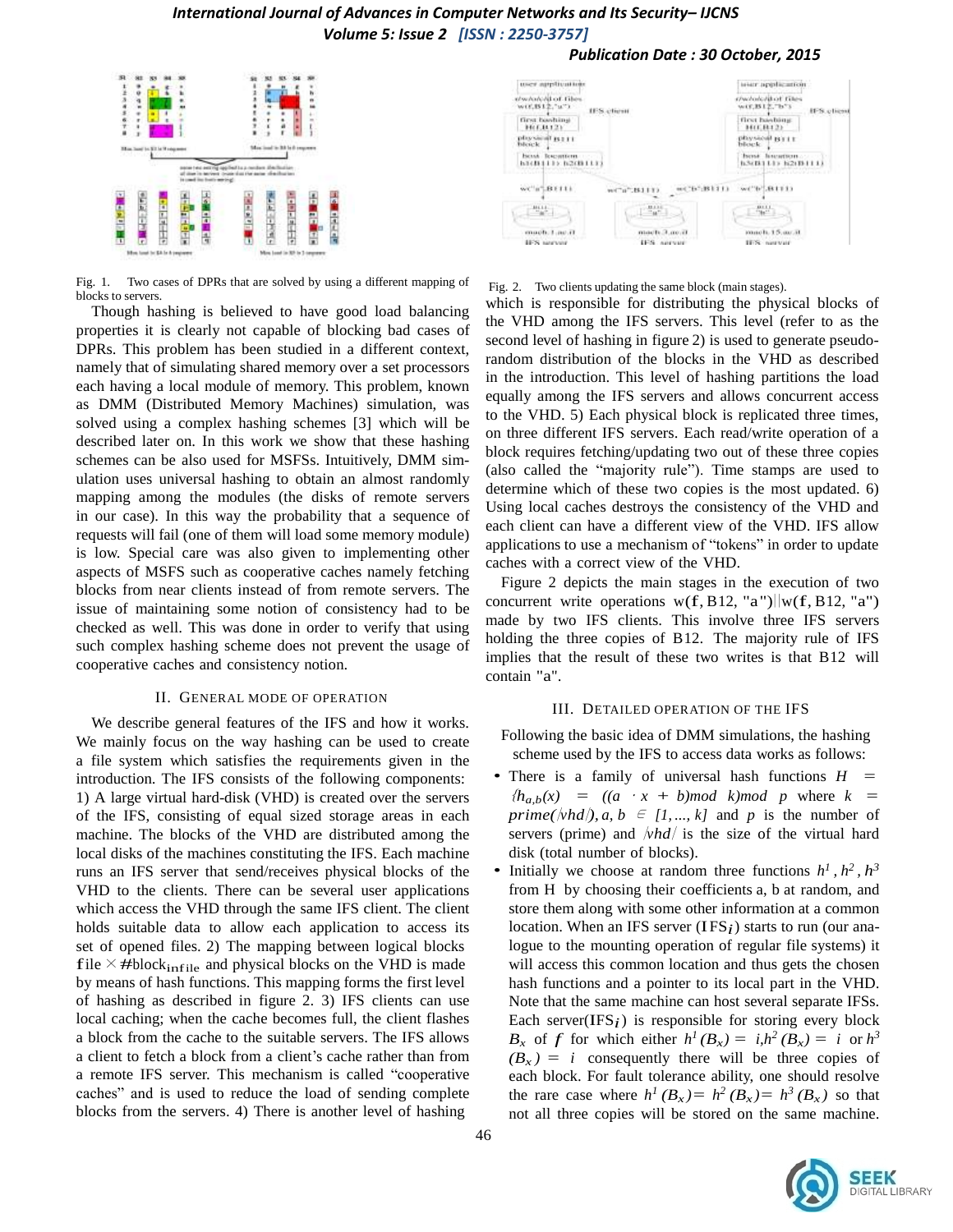

Fig. 1. Two cases of DPRs that are solved by using a different mapping of blocks to servers.

Though hashing is believed to have good load balancing properties it is clearly not capable of blocking bad cases of DPRs. This problem has been studied in a different context, namely that of simulating shared memory over a set processors each having a local module of memory. This problem, known as DMM (Distributed Memory Machines) simulation, was solved using a complex hashing schemes [3] which will be described later on. In this work we show that these hashing schemes can be also used for MSFSs. Intuitively, DMM simulation uses universal hashing to obtain an almost randomly mapping among the modules (the disks of remote servers in our case). In this way the probability that a sequence of requests will fail (one of them will load some memory module) is low. Special care was also given to implementing other aspects of MSFS such as cooperative caches namely fetching blocks from near clients instead of from remote servers. The issue of maintaining some notion of consistency had to be checked as well. This was done in order to verify that using such complex hashing scheme does not prevent the usage of cooperative caches and consistency notion.

#### II. GENERAL MODE OF OPERATION

We describe general features of the IFS and how it works. We mainly focus on the way hashing can be used to create a file system which satisfies the requirements given in the introduction. The IFS consists of the following components: 1) A large virtual hard-disk (VHD) is created over the servers of the IFS, consisting of equal sized storage areas in each machine. The blocks of the VHD are distributed among the local disks of the machines constituting the IFS. Each machine runs an IFS server that send/receives physical blocks of the VHD to the clients. There can be several user applications which access the VHD through the same IFS client. The client holds suitable data to allow each application to access its set of opened files. 2) The mapping between logical blocks file  $\times$  #block<sub>infile</sub> and physical blocks on the VHD is made by means of hash functions. This mapping forms the first level of hashing as described in figure 2. 3) IFS clients can use local caching; when the cache becomes full, the client flashes a block from the cache to the suitable servers. The IFS allows a client to fetch a block from a client's cache rather than from a remote IFS server. This mechanism is called "cooperative caches" and is used to reduce the load of sending complete blocks from the servers. 4) There is another level of hashing



*Publication Date : 30 October, 2015*

#### Fig. 2. Two clients updating the same block (main stages).

which is responsible for distributing the physical blocks of the VHD among the IFS servers. This level (refer to as the second level of hashing in figure 2) is used to generate pseudorandom distribution of the blocks in the VHD as described in the introduction. This level of hashing partitions the load equally among the IFS servers and allows concurrent access to the VHD. 5) Each physical block is replicated three times, on three different IFS servers. Each read/write operation of a block requires fetching/updating two out of these three copies (also called the "majority rule"). Time stamps are used to determine which of these two copies is the most updated. 6) Using local caches destroys the consistency of the VHD and each client can have a different view of the VHD. IFS allow applications to use a mechanism of "tokens" in order to update caches with a correct view of the VHD.

Figure 2 depicts the main stages in the execution of two concurrent write operations  $w(f, B12, "a")||w(f, B12, "a")$ made by two IFS clients. This involve three IFS servers holding the three copies of B12. The majority rule of IFS implies that the result of these two writes is that B12 will contain "a".

#### III. DETAILED OPERATION OF THE IFS

Following the basic idea of DMM simulations, the hashing scheme used by the IFS to access data works as follows:

- There is a family of universal hash functions *H =*  ${h_{a,b}(x) = ((a \cdot x + b) \mod k) \mod p}$  where  $k =$ *prime(* $\langle \nu h d \rangle$ *, a, b*  $\in$  [1, ..., k] and p is the number of servers (prime) and  $\sqrt{v}$  is the size of the virtual hard disk (total number of blocks).
- Initially we choose at random three functions  $h^1$ ,  $h^2$ ,  $h^3$ from H by choosing their coefficients a, b at random, and store them along with some other information at a common location. When an IFS server (IFS<sub>*i*</sub>) starts to run (our analogue to the mounting operation of regular file systems) it will access this common location and thus gets the chosen hash functions and a pointer to its local part in the VHD. Note that the same machine can host several separate IFSs. Each server(IFS $_i$ ) is responsible for storing every block *B<sub>x</sub>*</sub> of *f* for which either  $h^1(B_x) = i h^2(B_x) = i$  or  $h^3$  $(B_x) = i$  consequently there will be three copies of each block. For fault tolerance ability, one should resolve the rare case where  $h^1(B_x) = h^2(B_x) = h^3(B_x)$  so that not all three copies will be stored on the same machine.

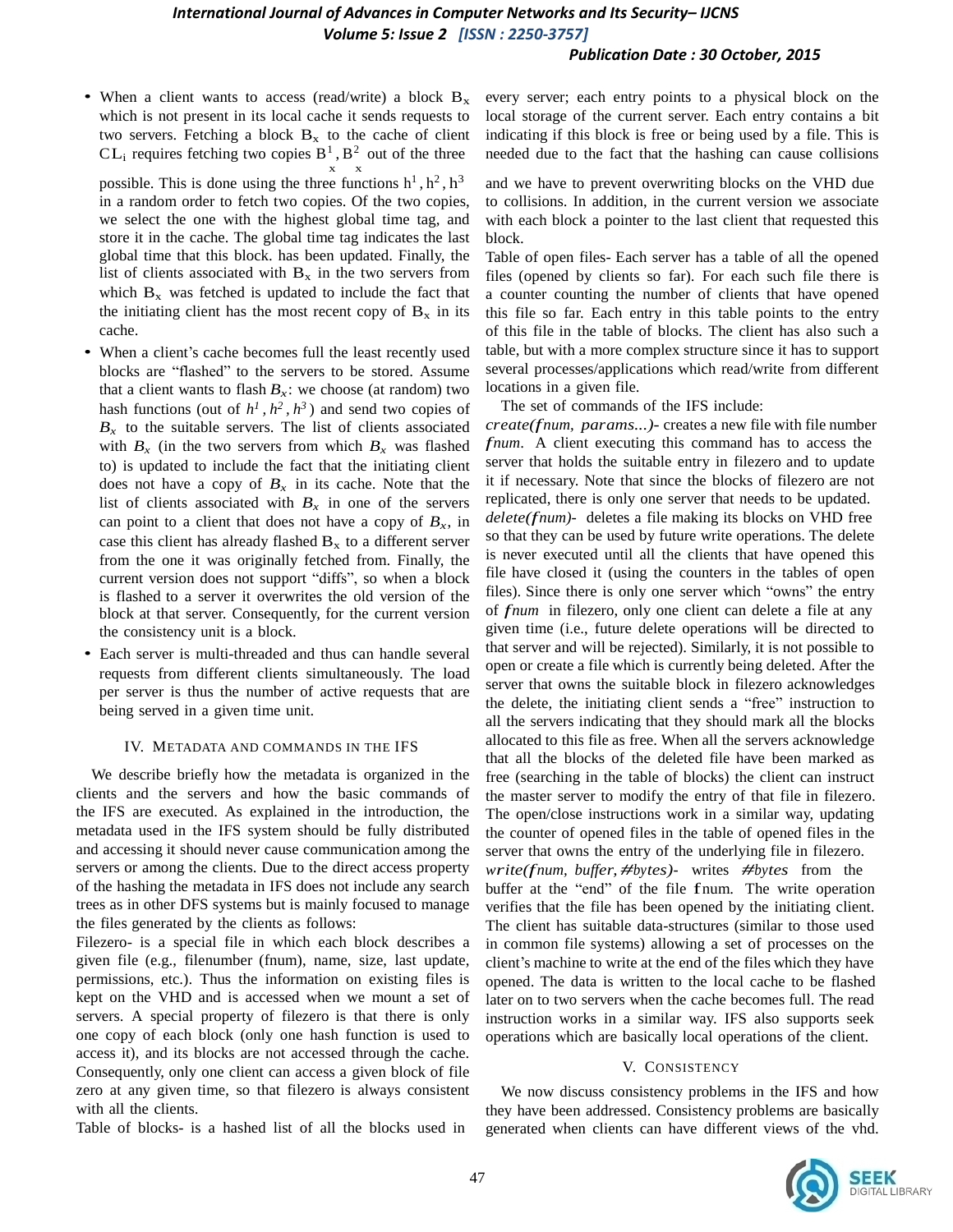### *Publication Date : 30 October, 2015*

• When a client wants to access (read/write) a block  $B_x$ which is not present in its local cache it sends requests to two servers. Fetching a block  $B_x$  to the cache of client  $CL_i$  requires fetching two copies  $B^1$ ,  $B^2$  out of the three x x

possible. This is done using the three functions  $h<sup>1</sup>$ ,  $h<sup>2</sup>$ ,  $h<sup>3</sup>$ in a random order to fetch two copies. Of the two copies, we select the one with the highest global time tag, and store it in the cache. The global time tag indicates the last global time that this block. has been updated. Finally, the list of clients associated with  $B_x$  in the two servers from which  $B_x$  was fetched is updated to include the fact that the initiating client has the most recent copy of  $B_x$  in its cache.

- When a client's cache becomes full the least recently used blocks are "flashed" to the servers to be stored. Assume that a client wants to flash  $B_x$ : we choose (at random) two hash functions (out of  $h^1$ ,  $h^2$ ,  $h^3$ ) and send two copies of  $B_x$  to the suitable servers. The list of clients associated with  $B_x$  (in the two servers from which  $B_x$  was flashed to) is updated to include the fact that the initiating client does not have a copy of  $B_x$  in its cache. Note that the list of clients associated with  $B_x$  in one of the servers can point to a client that does not have a copy of  $B_x$ , in case this client has already flashed  $B_x$  to a different server from the one it was originally fetched from. Finally, the current version does not support "diffs", so when a block is flashed to a server it overwrites the old version of the block at that server. Consequently, for the current version the consistency unit is a block.
- Each server is multi-threaded and thus can handle several requests from different clients simultaneously. The load per server is thus the number of active requests that are being served in a given time unit.

#### IV. METADATA AND COMMANDS IN THE IFS

We describe briefly how the metadata is organized in the clients and the servers and how the basic commands of the IFS are executed. As explained in the introduction, the metadata used in the IFS system should be fully distributed and accessing it should never cause communication among the servers or among the clients. Due to the direct access property of the hashing the metadata in IFS does not include any search trees as in other DFS systems but is mainly focused to manage the files generated by the clients as follows:

Filezero- is a special file in which each block describes a given file (e.g., filenumber (fnum), name, size, last update, permissions, etc.). Thus the information on existing files is kept on the VHD and is accessed when we mount a set of servers. A special property of filezero is that there is only one copy of each block (only one hash function is used to access it), and its blocks are not accessed through the cache. Consequently, only one client can access a given block of file zero at any given time, so that filezero is always consistent with all the clients.

Table of blocks- is a hashed list of all the blocks used in

every server; each entry points to a physical block on the local storage of the current server. Each entry contains a bit indicating if this block is free or being used by a file. This is needed due to the fact that the hashing can cause collisions

and we have to prevent overwriting blocks on the VHD due to collisions. In addition, in the current version we associate with each block a pointer to the last client that requested this block.

Table of open files- Each server has a table of all the opened files (opened by clients so far). For each such file there is a counter counting the number of clients that have opened this file so far. Each entry in this table points to the entry of this file in the table of blocks. The client has also such a table, but with a more complex structure since it has to support several processes/applications which read/write from different locations in a given file.

The set of commands of the IFS include:

*create(fnum, params...)*- creates a new file with file number *fnum*. A client executing this command has to access the server that holds the suitable entry in filezero and to update it if necessary. Note that since the blocks of filezero are not replicated, there is only one server that needs to be updated. *delete(fnum)*- deletes <sup>a</sup> file making its blocks on VHD free so that they can be used by future write operations. The delete is never executed until all the clients that have opened this file have closed it (using the counters in the tables of open files). Since there is only one server which "owns" the entry of *fnum* in filezero, only one client can delete <sup>a</sup> file at any given time (i.e., future delete operations will be directed to that server and will be rejected). Similarly, it is not possible to open or create a file which is currently being deleted. After the server that owns the suitable block in filezero acknowledges the delete, the initiating client sends a "free" instruction to all the servers indicating that they should mark all the blocks allocated to this file as free. When all the servers acknowledge that all the blocks of the deleted file have been marked as free (searching in the table of blocks) the client can instruct the master server to modify the entry of that file in filezero. The open/close instructions work in a similar way, updating the counter of opened files in the table of opened files in the server that owns the entry of the underlying file in filezero. *write(fnum, buffer, #bytes)*- writes *#bytes* from the buffer at the "end" of the file fnum. The write operation verifies that the file has been opened by the initiating client. The client has suitable data-structures (similar to those used in common file systems) allowing a set of processes on the client's machine to write at the end of the files which they have opened. The data is written to the local cache to be flashed later on to two servers when the cache becomes full. The read instruction works in a similar way. IFS also supports seek operations which are basically local operations of the client.

## V. CONSISTENCY

We now discuss consistency problems in the IFS and how they have been addressed. Consistency problems are basically generated when clients can have different views of the vhd.

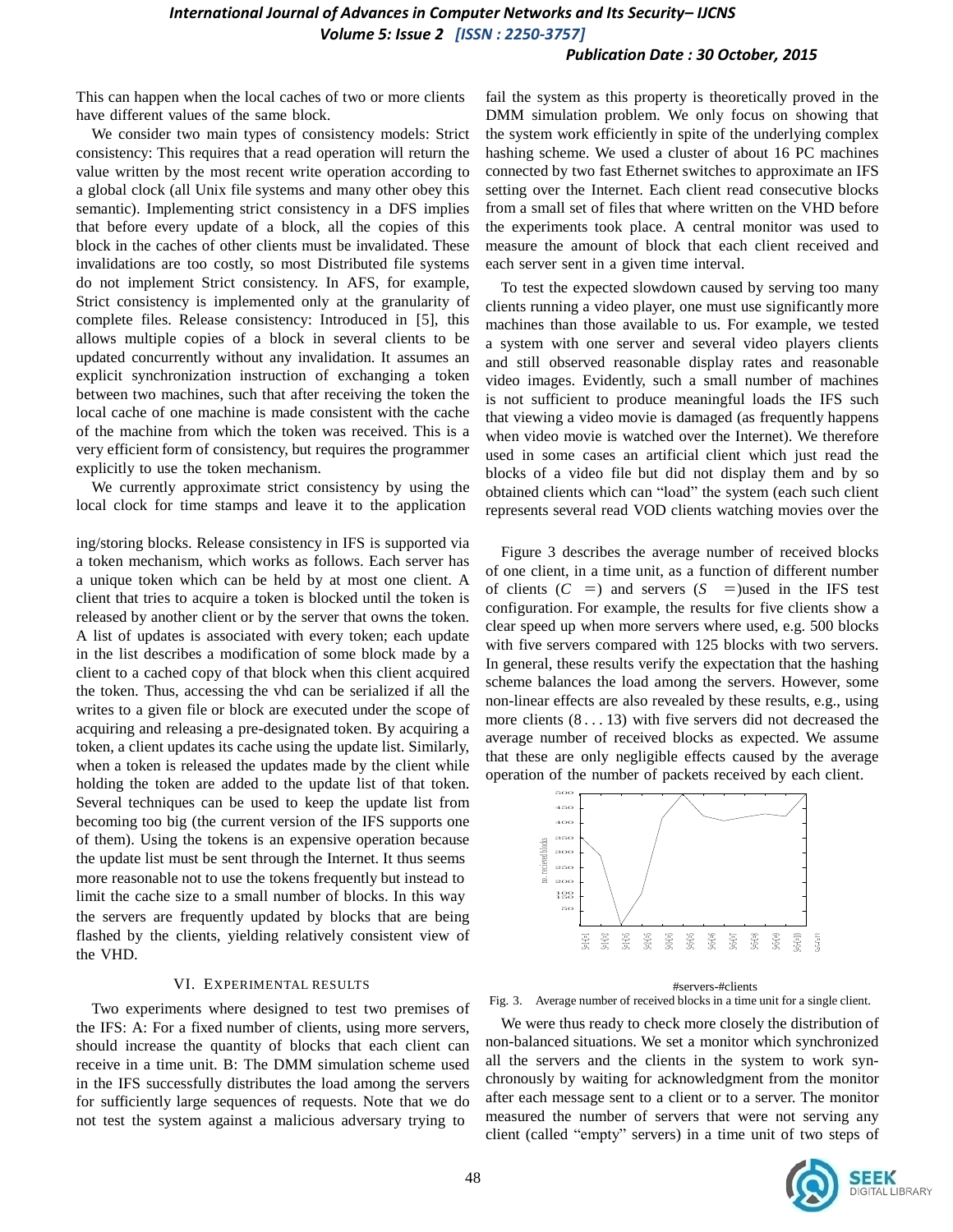## *Publication Date : 30 October, 2015*

This can happen when the local caches of two or more clients have different values of the same block.

We consider two main types of consistency models: Strict consistency: This requires that a read operation will return the value written by the most recent write operation according to a global clock (all Unix file systems and many other obey this semantic). Implementing strict consistency in a DFS implies that before every update of a block, all the copies of this block in the caches of other clients must be invalidated. These invalidations are too costly, so most Distributed file systems do not implement Strict consistency. In AFS, for example, Strict consistency is implemented only at the granularity of complete files. Release consistency: Introduced in [5], this allows multiple copies of a block in several clients to be updated concurrently without any invalidation. It assumes an explicit synchronization instruction of exchanging a token between two machines, such that after receiving the token the local cache of one machine is made consistent with the cache of the machine from which the token was received. This is a very efficient form of consistency, but requires the programmer explicitly to use the token mechanism.

We currently approximate strict consistency by using the local clock for time stamps and leave it to the application

or them). Using the tokens is an expensive operation because<br>the update list must be sent through the Internet. It thus seems<br>more reasonable not to use the tokens frequently but instead to limit the cache size to a small number of blocks. In this way ing/storing blocks. Release consistency in IFS is supported via a token mechanism, which works as follows. Each server has a unique token which can be held by at most one client. A client that tries to acquire a token is blocked until the token is released by another client or by the server that owns the token. A list of updates is associated with every token; each update in the list describes a modification of some block made by a client to a cached copy of that block when this client acquired the token. Thus, accessing the vhd can be serialized if all the writes to a given file or block are executed under the scope of acquiring and releasing a pre-designated token. By acquiring a token, a client updates its cache using the update list. Similarly, when a token is released the updates made by the client while holding the token are added to the update list of that token. Several techniques can be used to keep the update list from becoming too big (the current version of the IFS supports one of them). Using the tokens is an expensive operation because the update list must be sent through the Internet. It thus seems the servers are frequently updated by blocks that are being flashed by the clients, yielding relatively consistent view of the VHD.

#### VI. EXPERIMENTAL RESULTS

Two experiments where designed to test two premises of the IFS: A: For a fixed number of clients, using more servers, should increase the quantity of blocks that each client can receive in a time unit. B: The DMM simulation scheme used in the IFS successfully distributes the load among the servers for sufficiently large sequences of requests. Note that we do not test the system against a malicious adversary trying to

fail the system as this property is theoretically proved in the DMM simulation problem. We only focus on showing that the system work efficiently in spite of the underlying complex hashing scheme. We used a cluster of about 16 PC machines connected by two fast Ethernet switches to approximate an IFS setting over the Internet. Each client read consecutive blocks from a small set of files that where written on the VHD before the experiments took place. A central monitor was used to measure the amount of block that each client received and each server sent in a given time interval.

To test the expected slowdown caused by serving too many clients running a video player, one must use significantly more machines than those available to us. For example, we tested a system with one server and several video players clients and still observed reasonable display rates and reasonable video images. Evidently, such a small number of machines is not sufficient to produce meaningful loads the IFS such that viewing a video movie is damaged (as frequently happens when video movie is watched over the Internet). We therefore used in some cases an artificial client which just read the blocks of a video file but did not display them and by so obtained clients which can "load" the system (each such client represents several read VOD clients watching movies over the

Figure 3 describes the average number of received blocks of one client, in a time unit, as a function of different number of clients  $(C =)$  and servers  $(S =)$ used in the IFS test configuration. For example, the results for five clients show a clear speed up when more servers where used, e.g. 500 blocks with five servers compared with 125 blocks with two servers. In general, these results verify the expectation that the hashing scheme balances the load among the servers. However, some non-linear effects are also revealed by these results, e.g., using more clients (8 . . . 13) with five servers did not decreased the average number of received blocks as expected. We assume that these are only negligible effects caused by the average operation of the number of packets received by each client.



#### #servers-#clients

Fig. 3. Average number of received blocks in a time unit for a single client.

We were thus ready to check more closely the distribution of non-balanced situations. We set a monitor which synchronized all the servers and the clients in the system to work synchronously by waiting for acknowledgment from the monitor after each message sent to a client or to a server. The monitor measured the number of servers that were not serving any client (called "empty" servers) in a time unit of two steps of